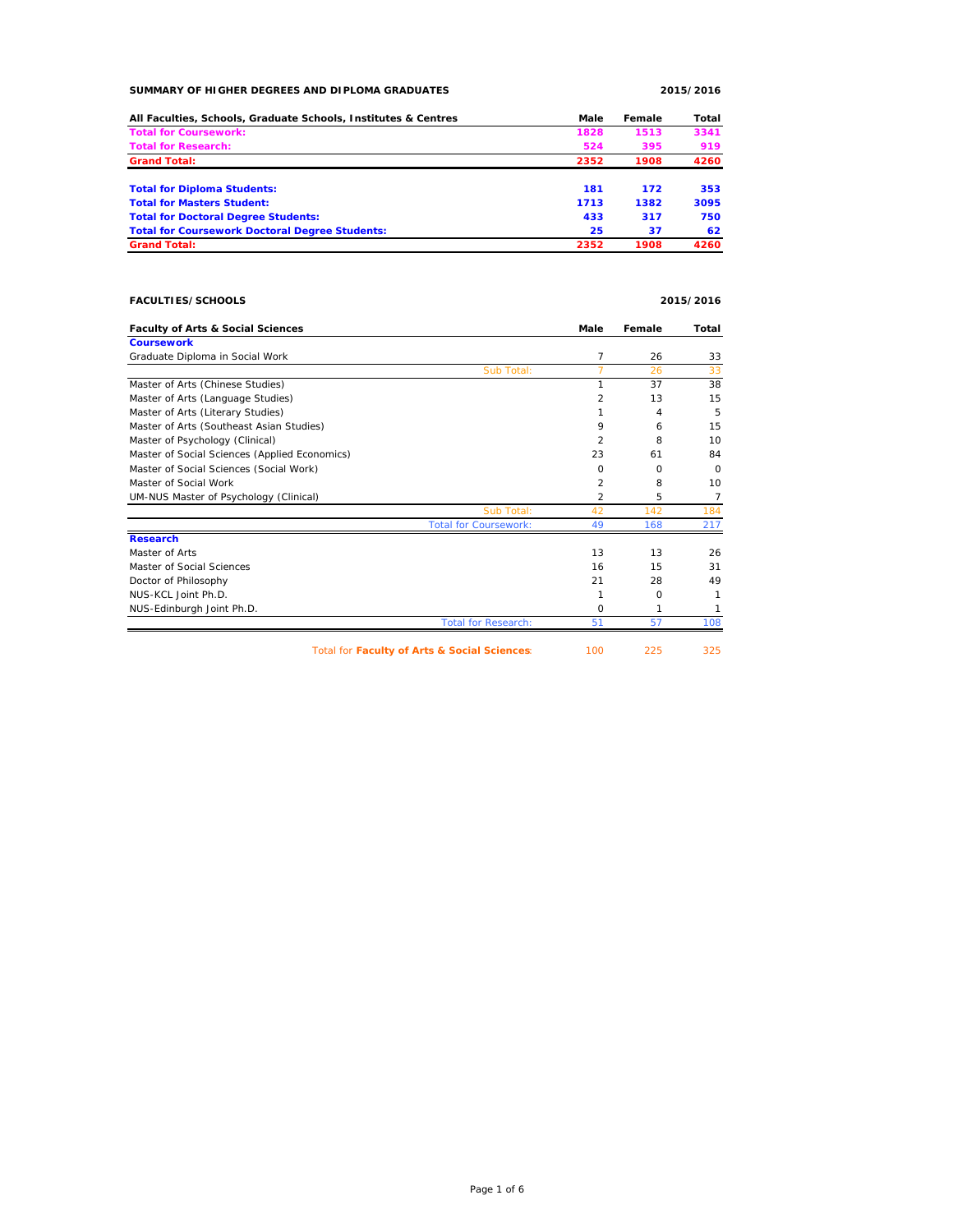### **SUMMARY OF HIGHER DEGREES AND DIPLOMA GRADUATES 2015/2016**

| All Faculties, Schools, Graduate Schools, Institutes & Centres | Male | Female | Total |
|----------------------------------------------------------------|------|--------|-------|
| <b>Total for Coursework:</b>                                   | 1828 | 1513   | 3341  |
| <b>Total for Research:</b>                                     | 524  | 395    | 919   |
| <b>Grand Total:</b>                                            | 2352 | 1908   | 4260  |
| <b>Total for Diploma Students:</b>                             | 181  | 172    | 353   |
| <b>Total for Masters Student:</b>                              | 1713 | 1382   | 3095  |
| <b>Total for Doctoral Degree Students:</b>                     | 433  | 317    | 750   |
| <b>Total for Coursework Doctoral Degree Students:</b>          | 25   | 37     | 62    |
| <b>Grand Total:</b>                                            | 2352 | 1908   | 4260  |

# **FACULTIES/SCHOOLS 2015/2016**

| <b>Faculty of Arts &amp; Social Sciences</b>  | Male           | Female | Total    |
|-----------------------------------------------|----------------|--------|----------|
| <b>Coursework</b>                             |                |        |          |
| Graduate Diploma in Social Work               | 7              | 26     | 33       |
| Sub Total:                                    |                | 26     | 33       |
| Master of Arts (Chinese Studies)              |                | 37     | 38       |
| Master of Arts (Language Studies)             | 2              | 13     | 15       |
| Master of Arts (Literary Studies)             |                | 4      | 5        |
| Master of Arts (Southeast Asian Studies)      | 9              | 6      | 15       |
| Master of Psychology (Clinical)               | $\mathfrak{p}$ | 8      | 10       |
| Master of Social Sciences (Applied Economics) | 23             | 61     | 84       |
| Master of Social Sciences (Social Work)       | $\Omega$       | O      | $\Omega$ |
| Master of Social Work                         | 2              | 8      | 10       |
| UM-NUS Master of Psychology (Clinical)        | 2              | 5      | 7        |
| Sub Total:                                    | 42             | 142    | 184      |
| <b>Total for Coursework:</b>                  | 49             | 168    | 217      |
| <b>Research</b>                               |                |        |          |
| Master of Arts                                | 13             | 13     | 26       |
| Master of Social Sciences                     | 16             | 15     | 31       |
| Doctor of Philosophy                          | 21             | 28     | 49       |
| NUS-KCL Joint Ph.D.                           |                | O      |          |
| NUS-Edinburgh Joint Ph.D.                     | $\Omega$       | 1      | 1        |
| <b>Total for Research:</b>                    | 51             | 57     | 108      |
| Total for Faculty of Arts & Social Sciences:  | 100            | 225    | 325      |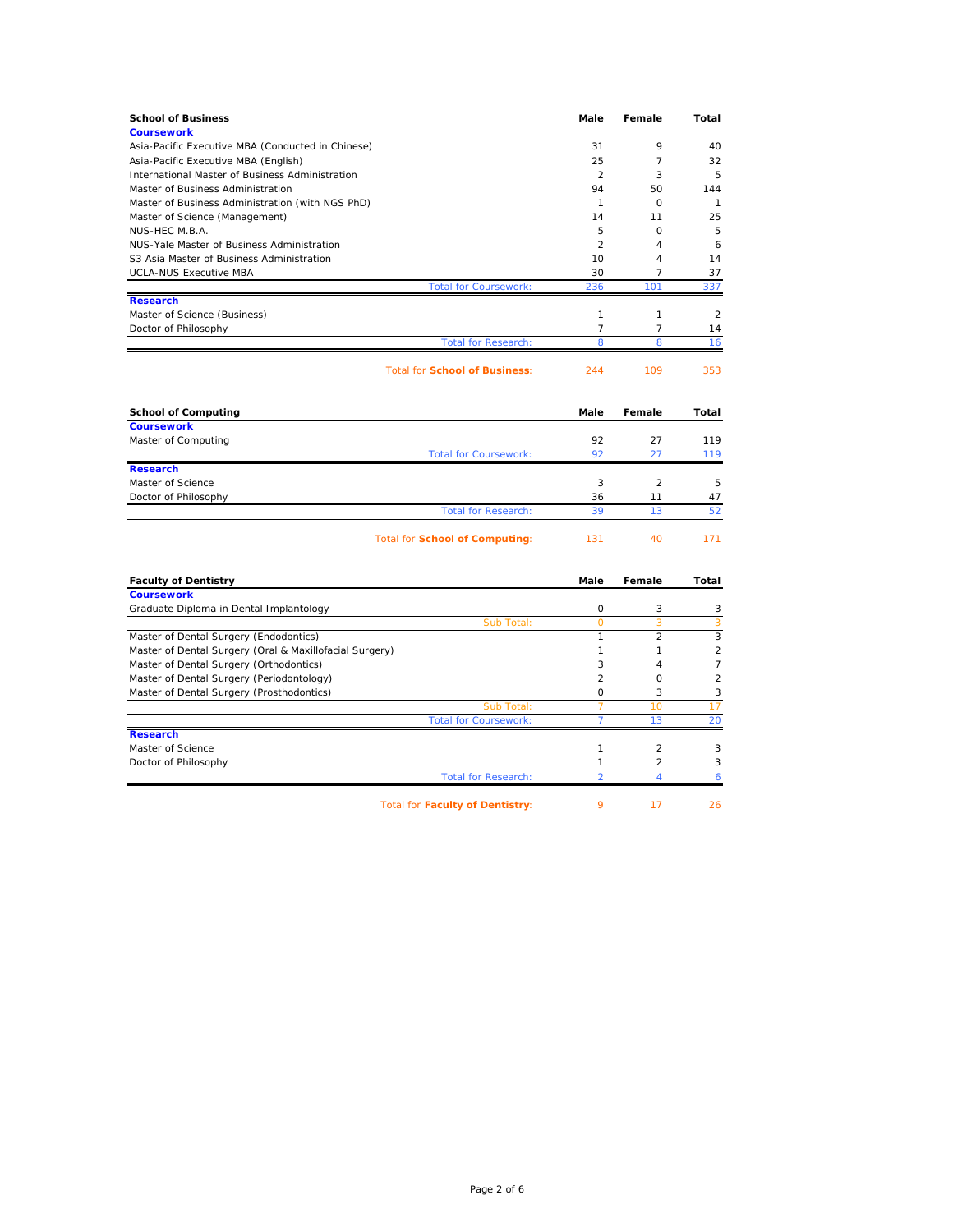| <b>School of Business</b>                                                                 | Male           | Female              | Total          |
|-------------------------------------------------------------------------------------------|----------------|---------------------|----------------|
| <b>Coursework</b>                                                                         |                |                     |                |
| Asia-Pacific Executive MBA (Conducted in Chinese)<br>Asia-Pacific Executive MBA (English) | 31<br>25       | 9<br>$\overline{7}$ | 40<br>32       |
| International Master of Business Administration                                           | $\overline{2}$ | 3                   | 5              |
| Master of Business Administration                                                         | 94             | 50                  | 144            |
| Master of Business Administration (with NGS PhD)                                          | $\mathbf{1}$   | $\circ$             | $\mathbf{1}$   |
| Master of Science (Management)                                                            | 14             | 11                  | 25             |
| NUS-HEC M.B.A.                                                                            | 5              | $\Omega$            | 5              |
| NUS-Yale Master of Business Administration                                                | 2              | $\overline{4}$      | 6              |
| S3 Asia Master of Business Administration                                                 | 10             | 4                   | 14             |
| <b>UCLA-NUS Executive MBA</b>                                                             | 30             | $\overline{7}$      | 37             |
| <b>Total for Coursework:</b>                                                              | 236            | 101                 | 337            |
| <b>Research</b>                                                                           |                |                     |                |
| Master of Science (Business)                                                              | $\mathbf{1}$   | 1                   | $\overline{2}$ |
| Doctor of Philosophy                                                                      | $\overline{7}$ | $\overline{7}$      | 14             |
| <b>Total for Research:</b>                                                                | 8              | 8                   | 16             |
| <b>Total for School of Business:</b>                                                      | 244            | 109                 | 353            |
| <b>School of Computing</b>                                                                | Male           | Female              | Total          |
| <b>Coursework</b>                                                                         |                |                     |                |
| Master of Computing                                                                       | 92<br>92       | 27<br>27            | 119<br>119     |
| <b>Total for Coursework:</b><br><b>Research</b>                                           |                |                     |                |
| Master of Science                                                                         | 3              | 2                   | 5              |
| Doctor of Philosophy                                                                      | 36             | 11                  | 47             |
| <b>Total for Research:</b>                                                                | 39             | 13                  | 52             |
| Total for School of Computing:                                                            | 131            | 40                  | 171            |
|                                                                                           |                |                     |                |
| <b>Faculty of Dentistry</b>                                                               | Male           | Female              | Total          |
| <b>Coursework</b>                                                                         | $\circ$        |                     |                |
| Graduate Diploma in Dental Implantology<br>Sub Total:                                     | $\overline{O}$ | 3<br>3              | 3<br>3         |
| Master of Dental Surgery (Endodontics)                                                    | $\mathbf{1}$   | 2                   | 3              |
| Master of Dental Surgery (Oral & Maxillofacial Surgery)                                   | 1              | 1                   | $\overline{c}$ |
| Master of Dental Surgery (Orthodontics)                                                   | 3              | 4                   | $\overline{7}$ |
| Master of Dental Surgery (Periodontology)                                                 | $\overline{2}$ | $\circ$             | $\overline{a}$ |
| Master of Dental Surgery (Prosthodontics)                                                 | $\circ$        | 3                   | 3              |
| Sub Total:                                                                                | $\overline{7}$ | 10                  | 17             |
| <b>Total for Coursework:</b>                                                              | $\overline{7}$ | 13                  | 20             |
| <b>Research</b>                                                                           |                |                     |                |
| Master of Science                                                                         | $\mathbf{1}$   | $\overline{2}$      | 3              |
| Doctor of Philosophy                                                                      | 1              | 2                   | 3              |
| <b>Total for Research:</b>                                                                | $\overline{2}$ | $\overline{A}$      | 6              |
| <b>Total for Faculty of Dentistry:</b>                                                    | 9              | 17                  | 26             |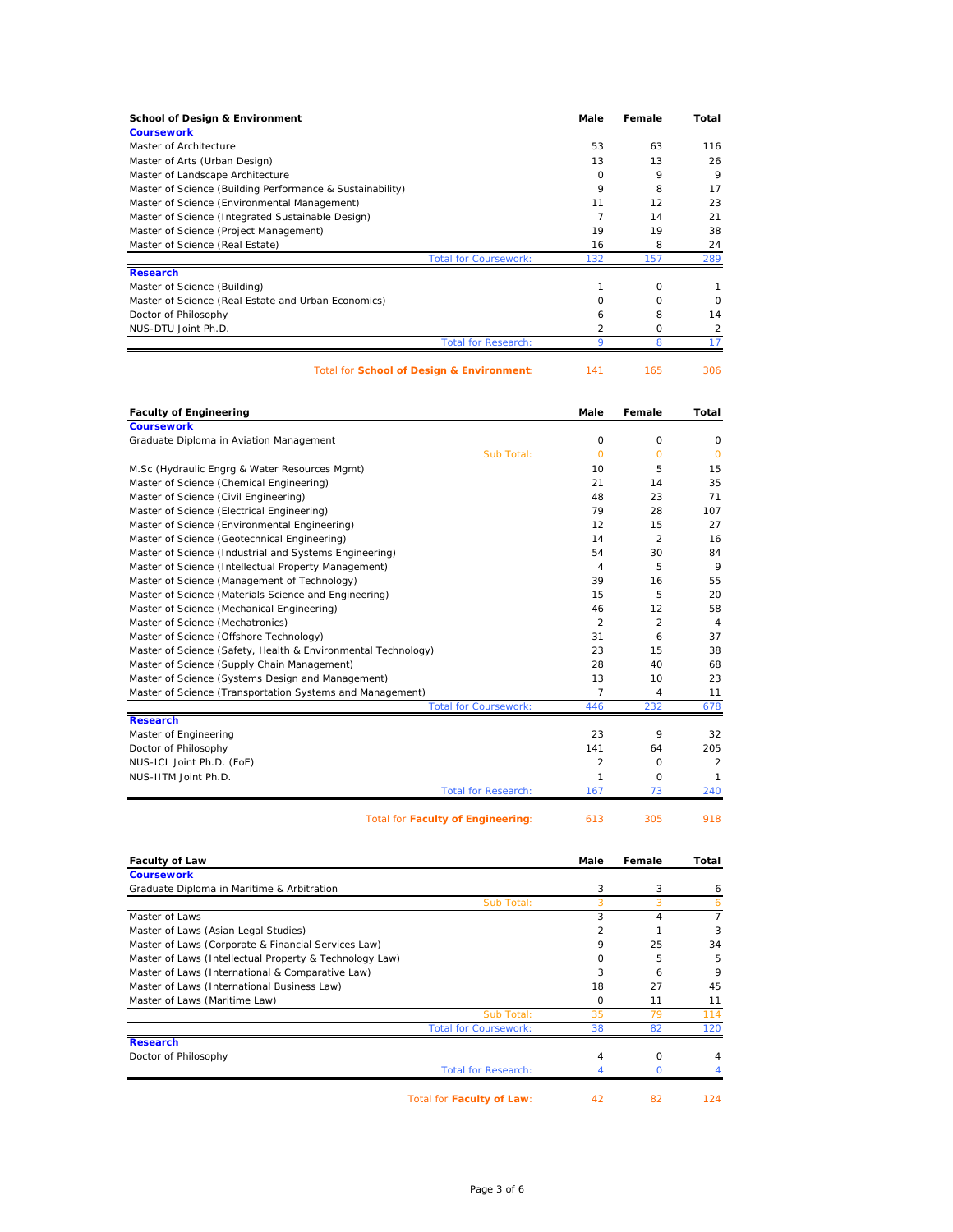| <b>School of Design &amp; Environment</b>                 | Male                                  | Female   | Total    |
|-----------------------------------------------------------|---------------------------------------|----------|----------|
| <b>Coursework</b>                                         |                                       |          |          |
| Master of Architecture                                    | 53                                    | 63       | 116      |
| Master of Arts (Urban Design)                             | 13                                    | 13       | 26       |
| Master of Landscape Architecture                          | <sup>o</sup>                          | 9        | 9        |
| Master of Science (Building Performance & Sustainability) | 9                                     | 8        | 17       |
| Master of Science (Environmental Management)              | 11                                    | 12       | 23       |
| Master of Science (Integrated Sustainable Design)         |                                       | 14       | 21       |
| Master of Science (Project Management)                    | 19                                    | 19       | 38       |
| Master of Science (Real Estate)                           | 16                                    | 8        | 24       |
|                                                           | <b>Total for Coursework:</b><br>132   | 157      | 289      |
| <b>Research</b>                                           |                                       |          |          |
| Master of Science (Building)                              |                                       | $\Omega$ |          |
| Master of Science (Real Estate and Urban Economics)       | O                                     | O        | $\Omega$ |
| Doctor of Philosophy                                      | 6                                     | 8        | 14       |
| NUS-DTU Joint Ph.D.                                       | $\mathcal{P}$                         | O        | 2        |
|                                                           | <b>Total for Research:</b><br>$\circ$ | 8        |          |

Total for **School of Design & Environment:** 141 165 306

| <b>Faculty of Engineering</b>                                 | Male           | Female         | Total          |
|---------------------------------------------------------------|----------------|----------------|----------------|
| <b>Coursework</b>                                             |                |                |                |
| Graduate Diploma in Aviation Management                       | 0              | O              | 0              |
| Sub Total:                                                    | $\Omega$       | $\Omega$       | $\circ$        |
| M.Sc (Hydraulic Engrg & Water Resources Mgmt)                 | 10             | 5              | 15             |
| Master of Science (Chemical Engineering)                      | 21             | 14             | 35             |
| Master of Science (Civil Engineering)                         | 48             | 23             | 71             |
| Master of Science (Electrical Engineering)                    | 79             | 28             | 107            |
| Master of Science (Environmental Engineering)                 | 12             | 15             | 27             |
| Master of Science (Geotechnical Engineering)                  | 14             | $\mathfrak{p}$ | 16             |
| Master of Science (Industrial and Systems Engineering)        | 54             | 30             | 84             |
| Master of Science (Intellectual Property Management)          | 4              | 5              | 9              |
| Master of Science (Management of Technology)                  | 39             | 16             | 55             |
| Master of Science (Materials Science and Engineering)         | 15             | 5              | 20             |
| Master of Science (Mechanical Engineering)                    | 46             | 12             | 58             |
| Master of Science (Mechatronics)                              | 2              | $\overline{2}$ | $\overline{4}$ |
| Master of Science (Offshore Technology)                       | 31             | 6              | 37             |
| Master of Science (Safety, Health & Environmental Technology) | 23             | 15             | 38             |
| Master of Science (Supply Chain Management)                   | 28             | 40             | 68             |
| Master of Science (Systems Design and Management)             | 13             | 10             | 23             |
| Master of Science (Transportation Systems and Management)     | 7              | 4              | 11             |
| <b>Total for Coursework:</b>                                  | 446            | 232            | 678            |
| <b>Research</b>                                               |                |                |                |
| Master of Engineering                                         | 23             | 9              | 32             |
| Doctor of Philosophy                                          | 141            | 64             | 205            |
| NUS-ICL Joint Ph.D. (FoE)                                     | $\overline{2}$ | $\Omega$       | $\overline{2}$ |
| NUS-IITM Joint Ph.D.                                          | 1              | $\Omega$       | 1              |
| <b>Total for Research:</b>                                    | 167            | 73             | 240            |
| <b>Total for Faculty of Engineering:</b>                      | 613            | 305            | 918            |

| <b>Faculty of Law</b> | Male | Female | Total |
|-----------------------|------|--------|-------|

| <b>Coursework</b>                                       |                              |          |          |                |
|---------------------------------------------------------|------------------------------|----------|----------|----------------|
| Graduate Diploma in Maritime & Arbitration              |                              | 3        | 3        | 6              |
|                                                         | Sub Total:                   |          | 3        | 6              |
| Master of Laws                                          |                              | 3        | 4        | $\overline{7}$ |
| Master of Laws (Asian Legal Studies)                    |                              |          |          | 3              |
| Master of Laws (Corporate & Financial Services Law)     |                              | 9        | 25       | 34             |
| Master of Laws (Intellectual Property & Technology Law) |                              | O        | 5        | 5              |
| Master of Laws (International & Comparative Law)        |                              | 3        | 6        | 9              |
| Master of Laws (International Business Law)             |                              | 18       | 27       | 45             |
| Master of Laws (Maritime Law)                           |                              | $\Omega$ | 11       | 11             |
|                                                         | Sub Total:                   | 35       | 79       | 114            |
|                                                         | <b>Total for Coursework:</b> | 38       | 82       | 120            |
| <b>Research</b>                                         |                              |          |          |                |
| Doctor of Philosophy                                    |                              | 4        | $\Omega$ |                |
|                                                         | <b>Total for Research:</b>   |          |          |                |
| Total for Faculty of Law:                               |                              | 42       | 82       | 124            |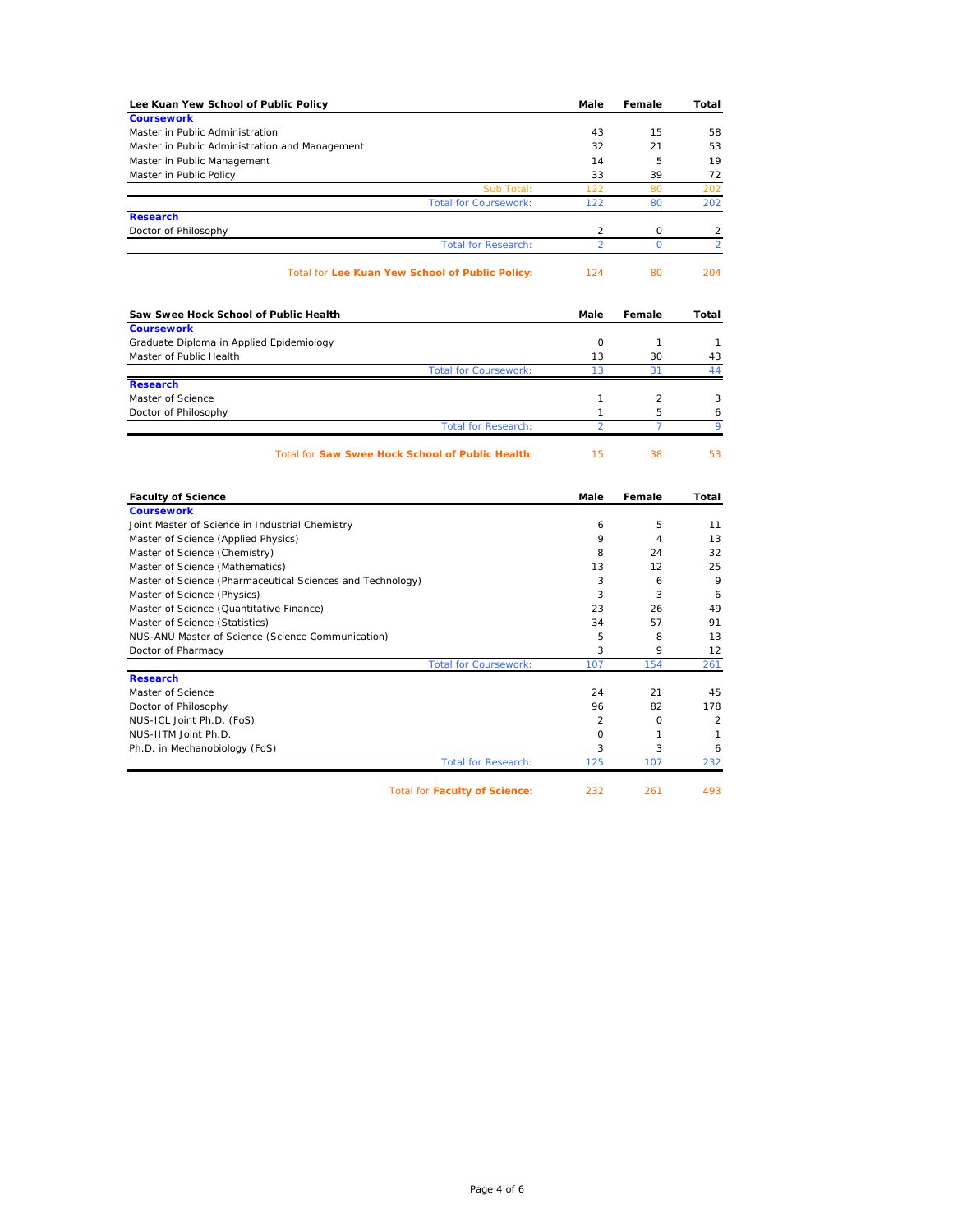| Lee Kuan Yew School of Public Policy                       | Male                             | Female         | Total          |
|------------------------------------------------------------|----------------------------------|----------------|----------------|
| <b>Coursework</b>                                          |                                  |                |                |
| Master in Public Administration                            | 43                               | 15             | 58             |
| Master in Public Administration and Management             | 32                               | 21             | 53             |
| Master in Public Management                                | 14                               | 5              | 19             |
| Master in Public Policy                                    | 33                               | 39             | 72             |
| Sub Total:                                                 | 122                              | 80             | 202            |
| <b>Total for Coursework:</b>                               | 122                              | 80             | 202            |
| <b>Research</b>                                            |                                  |                |                |
| Doctor of Philosophy                                       | $\overline{2}$<br>$\overline{a}$ | $\circ$        | $\overline{c}$ |
| <b>Total for Research:</b>                                 |                                  | $\overline{0}$ | $\overline{2}$ |
| Total for Lee Kuan Yew School of Public Policy:            | 124                              | 80             | 204            |
| Saw Swee Hock School of Public Health                      | Male                             | Female         | Total          |
| <b>Coursework</b>                                          |                                  |                |                |
| Graduate Diploma in Applied Epidemiology                   | $\mathbf 0$                      | $\mathbf{1}$   | $\mathbf{1}$   |
| Master of Public Health                                    | 13                               | 30             | 43             |
| <b>Total for Coursework:</b>                               | 13                               | 31             | 44             |
| <b>Research</b>                                            |                                  |                |                |
| Master of Science                                          | $\mathbf{1}$                     | $\overline{2}$ | 3              |
| Doctor of Philosophy                                       | 1                                | 5              | 6              |
| <b>Total for Research:</b>                                 | $\overline{2}$                   | $\overline{7}$ | 9              |
| Total for Saw Swee Hock School of Public Health:           | 15                               | 38             | 53             |
| <b>Faculty of Science</b>                                  | Male                             | Female         | Total          |
| <b>Coursework</b>                                          |                                  |                |                |
| Joint Master of Science in Industrial Chemistry            | 6                                | 5              | 11             |
| Master of Science (Applied Physics)                        | 9                                | $\overline{4}$ | 13             |
| Master of Science (Chemistry)                              | 8                                | 24             | 32             |
| Master of Science (Mathematics)                            | 13                               | 12             | 25             |
| Master of Science (Pharmaceutical Sciences and Technology) | 3                                | 6              | 9              |
| Master of Science (Physics)                                | 3                                | 3              | 6              |
| Master of Science (Quantitative Finance)                   | 23                               | 26             | 49             |
| Master of Science (Statistics)                             | 34                               | 57             | 91             |
| NUS-ANU Master of Science (Science Communication)          | 5                                | 8              | 13             |
| Doctor of Pharmacy                                         | 3                                | 9              | 12             |
| <b>Total for Coursework:</b>                               | 107                              | 154            | 261            |
| <b>Research</b>                                            |                                  |                |                |
| Master of Science                                          | 24                               | 21             | 45             |
| Doctor of Philosophy                                       | 96                               | 82             | 178            |
| NUS-ICL Joint Ph.D. (FoS)                                  | $\overline{2}$                   | $\circ$        | 2              |
| NUS-IITM Joint Ph.D.                                       | O                                | $\mathbf{1}$   | $\mathbf{1}$   |
| Ph.D. in Mechanobiology (FoS)                              | 3                                | 3              | 6              |
| <b>Total for Research:</b>                                 | 125                              | 107            | 232            |
| <b>Total for Faculty of Science:</b>                       | 232                              | 261            | 493            |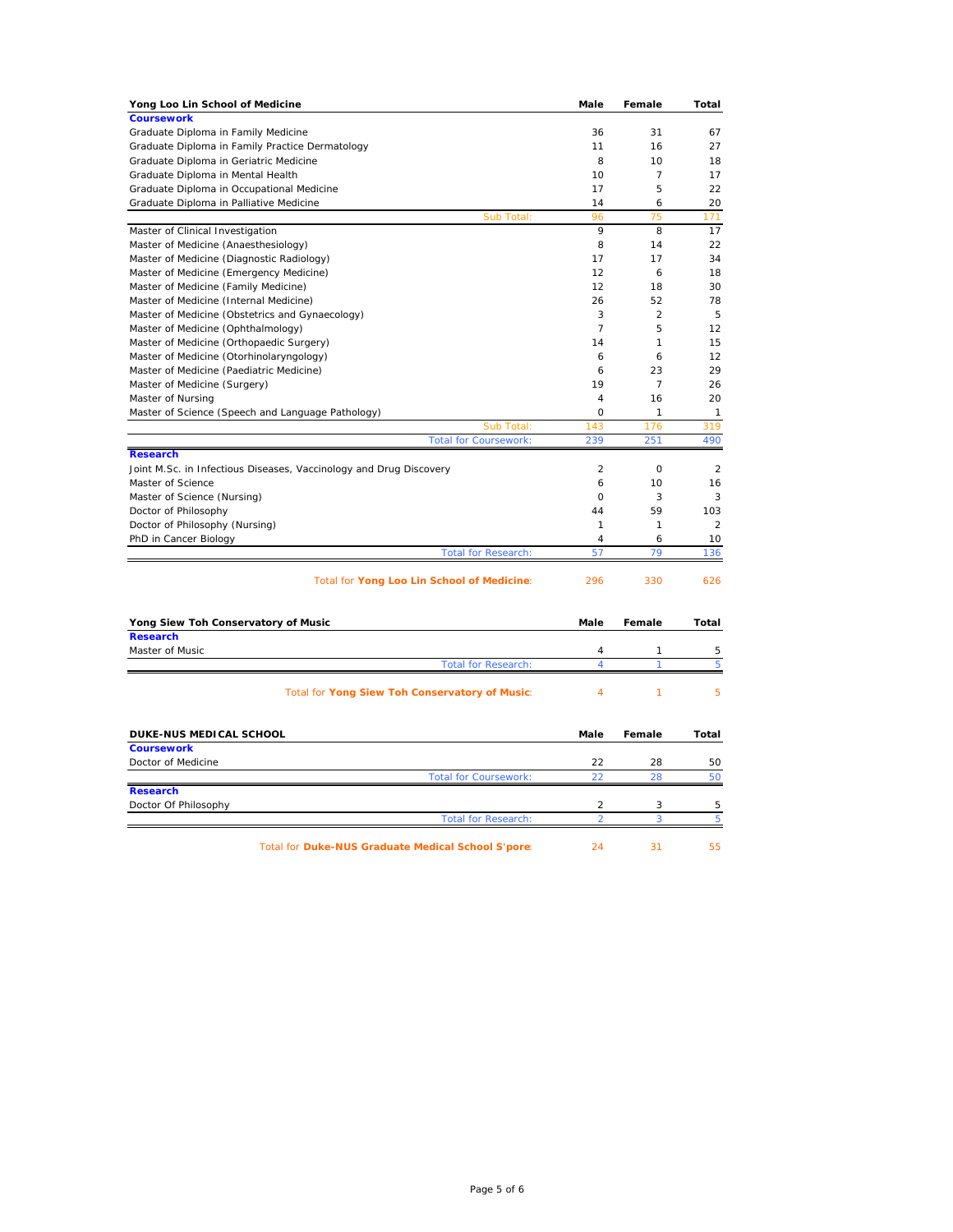| Yong Loo Lin School of Medicine                                                 | Male                | Female         | <b>Total</b>   |
|---------------------------------------------------------------------------------|---------------------|----------------|----------------|
| <b>Coursework</b>                                                               |                     |                |                |
| Graduate Diploma in Family Medicine                                             | 36                  | 31             | 67             |
| Graduate Diploma in Family Practice Dermatology                                 | 11                  | 16             | 27             |
| Graduate Diploma in Geriatric Medicine                                          | 8                   | 10             | 18             |
| Graduate Diploma in Mental Health                                               | 10                  | 7              | 17             |
| Graduate Diploma in Occupational Medicine                                       | 17                  | 5              | 22             |
| Graduate Diploma in Palliative Medicine                                         | 14                  | 6              | 20             |
| <b>Sub Total</b>                                                                | 96                  | 75             | 171            |
| Master of Clinical Investigation                                                | 9                   | 8              | 17             |
| Master of Medicine (Anaesthesiology)                                            | 8                   | 14             | 22             |
| Master of Medicine (Diagnostic Radiology)                                       | 17<br>12            | 17<br>6        | 34<br>18       |
| Master of Medicine (Emergency Medicine)<br>Master of Medicine (Family Medicine) | 12                  | 18             | 30             |
| Master of Medicine (Internal Medicine)                                          | 26                  | 52             | 78             |
| Master of Medicine (Obstetrics and Gynaecology)                                 | 3                   | $\overline{2}$ | 5              |
| Master of Medicine (Ophthalmology)                                              | $\overline{7}$      | 5              | 12             |
| Master of Medicine (Orthopaedic Surgery)                                        | 14                  | 1              | 15             |
| Master of Medicine (Otorhinolaryngology)                                        | 6                   | 6              | 12             |
| Master of Medicine (Paediatric Medicine)                                        | 6                   | 23             | 29             |
| Master of Medicine (Surgery)                                                    | 19                  | $\overline{7}$ | 26             |
| Master of Nursing                                                               | $\overline{4}$      | 16             | 20             |
| Master of Science (Speech and Language Pathology)                               | 0                   | 1              | 1              |
| Sub Total:                                                                      | 143                 | 176            | 319            |
| <b>Total for Coursework:</b>                                                    | 239                 | 251            | 490            |
| <b>Research</b>                                                                 |                     |                |                |
| Joint M.Sc. in Infectious Diseases, Vaccinology and Drug Discovery              | $\overline{2}$      | O              | $\overline{2}$ |
| Master of Science                                                               | 6                   | 10             | 16             |
| Master of Science (Nursing)                                                     | 0                   | 3              | 3              |
| Doctor of Philosophy                                                            | 44                  | 59             | 103            |
| Doctor of Philosophy (Nursing)                                                  | $\mathbf{1}$        | 1              | $\overline{2}$ |
| PhD in Cancer Biology                                                           | 4                   | 6              | 10             |
| <b>Total for Research:</b>                                                      | 57                  | 79             | 136            |
| Total for Yong Loo Lin School of Medicine:                                      | 296                 | 330            | 626            |
| Yong Siew Toh Conservatory of Music                                             | Male                | Female         | <b>Total</b>   |
| <b>Research</b>                                                                 |                     |                |                |
| Master of Music<br><b>Total for Research:</b>                                   | $\overline{4}$<br>4 | 1<br>1         | 5<br>5         |
|                                                                                 |                     |                |                |
| Total for Yong Siew Toh Conservatory of Music:                                  | $\overline{4}$      | 1              | 5              |
| DUKE-NUS MEDICAL SCHOOL                                                         | Male                | Female         | Total          |
| <b>Coursework</b>                                                               |                     |                |                |
| Doctor of Medicine                                                              | 22                  | 28             | 50             |
| <b>Total for Coursework:</b>                                                    | 22                  | 28             | 50             |
| <b>Research</b>                                                                 |                     |                |                |
| Doctor Of Philosophy                                                            | 2<br>$\overline{2}$ | 3              | 5              |
| <b>Total for Research:</b>                                                      |                     | 3              | 5              |
| Total for Duke-NUS Graduate Medical School S'pore:                              | 24                  | 31             | 55             |